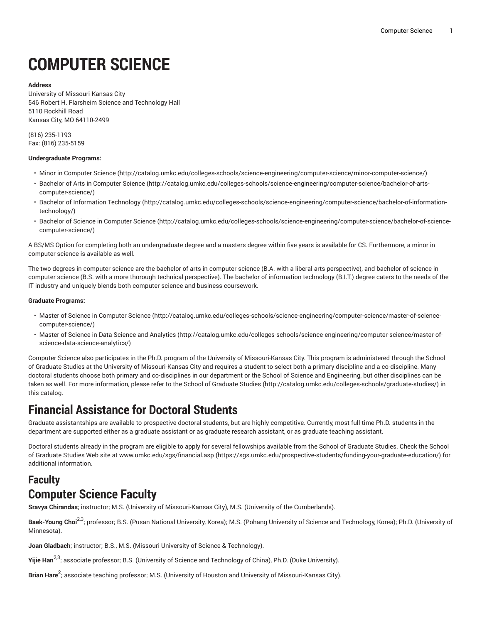# **COMPUTER SCIENCE**

**Address**

University of Missouri-Kansas City 546 Robert H. Flarsheim Science and Technology Hall 5110 Rockhill Road Kansas City, MO 64110-2499

(816) 235-1193 Fax: (816) 235-5159

#### **Undergraduate Programs:**

- [Minor in Computer Science](http://catalog.umkc.edu/colleges-schools/science-engineering/computer-science/minor-computer-science/) (<http://catalog.umkc.edu/colleges-schools/science-engineering/computer-science/minor-computer-science/>)
- Bachelor of Arts in [Computer](http://catalog.umkc.edu/colleges-schools/science-engineering/computer-science/bachelor-of-arts-computer-science/) Science ([http://catalog.umkc.edu/colleges-schools/science-engineering/computer-science/bachelor-of-arts](http://catalog.umkc.edu/colleges-schools/science-engineering/computer-science/bachelor-of-arts-computer-science/)[computer-science/\)](http://catalog.umkc.edu/colleges-schools/science-engineering/computer-science/bachelor-of-arts-computer-science/)
- Bachelor of [Information](http://catalog.umkc.edu/colleges-schools/science-engineering/computer-science/bachelor-of-information-technology/) Technology [\(http://catalog.umkc.edu/colleges-schools/science-engineering/computer-science/bachelor-of-information](http://catalog.umkc.edu/colleges-schools/science-engineering/computer-science/bachelor-of-information-technology/)[technology/](http://catalog.umkc.edu/colleges-schools/science-engineering/computer-science/bachelor-of-information-technology/))
- [Bachelor of Science in Computer Science](http://catalog.umkc.edu/colleges-schools/science-engineering/computer-science/bachelor-of-science-computer-science/) ([http://catalog.umkc.edu/colleges-schools/science-engineering/computer-science/bachelor-of-science](http://catalog.umkc.edu/colleges-schools/science-engineering/computer-science/bachelor-of-science-computer-science/)[computer-science/\)](http://catalog.umkc.edu/colleges-schools/science-engineering/computer-science/bachelor-of-science-computer-science/)

A BS/MS Option for completing both an undergraduate degree and a masters degree within five years is available for CS. Furthermore, a minor in computer science is available as well.

The two degrees in computer science are the bachelor of arts in computer science (B.A. with a liberal arts perspective), and bachelor of science in computer science (B.S. with a more thorough technical perspective). The bachelor of information technology (B.I.T.) degree caters to the needs of the IT industry and uniquely blends both computer science and business coursework.

#### **Graduate Programs:**

- [Master of Science in Computer Science](http://catalog.umkc.edu/colleges-schools/science-engineering/computer-science/master-of-science-computer-science/) [\(http://catalog.umkc.edu/colleges-schools/science-engineering/computer-science/master-of-science](http://catalog.umkc.edu/colleges-schools/science-engineering/computer-science/master-of-science-computer-science/)[computer-science/\)](http://catalog.umkc.edu/colleges-schools/science-engineering/computer-science/master-of-science-computer-science/)
- [Master of Science in Data Science and Analytics \(http://catalog.umkc.edu/colleges-schools/science-engineering/computer-science/master-of](http://catalog.umkc.edu/colleges-schools/science-engineering/computer-science/master-of-science-data-science-analytics/)[science-data-science-analytics/\)](http://catalog.umkc.edu/colleges-schools/science-engineering/computer-science/master-of-science-data-science-analytics/)

Computer Science also participates in the Ph.D. program of the University of Missouri-Kansas City. This program is administered through the School of Graduate Studies at the University of Missouri-Kansas City and requires a student to select both a primary discipline and a co-discipline. Many doctoral students choose both primary and co-disciplines in our department or the School of Science and Engineering, but other disciplines can be taken as well. For more information, please refer to the [School of Graduate Studies \(http://catalog.umkc.edu/colleges-schools/graduate-studies/](http://catalog.umkc.edu/colleges-schools/graduate-studies/)) in this catalog.

### **Financial Assistance for Doctoral Students**

Graduate assistantships are available to prospective doctoral students, but are highly competitive. Currently, most full-time Ph.D. students in the department are supported either as a graduate assistant or as graduate research assistant, or as graduate teaching assistant.

Doctoral students already in the program are eligible to apply for several fellowships available from the School of Graduate Studies. Check the School of Graduate Studies Web site at [www.umkc.edu/sgs/financial.asp](https://sgs.umkc.edu/prospective-students/funding-your-graduate-education/) ([https://sgs.umkc.edu/prospective-students/funding-your-graduate-education/\)](https://sgs.umkc.edu/prospective-students/funding-your-graduate-education/) for additional information.

## **Faculty Computer Science Faculty**

**Sravya Chirandas**; instructor; M.S. (University of Missouri-Kansas City), M.S. (University of the Cumberlands).

**Baek-Young Choi** 2,3; professor; B.S. (Pusan National University, Korea); M.S. (Pohang University of Science and Technology, Korea); Ph.D. (University of Minnesota).

**Joan Gladbach**; instructor; B.S., M.S. (Missouri University of Science & Technology).

**Yijie Han<sup>2,3</sup>; associate professor; B.S. (University of Science and Technology of China), Ph.D. (Duke University).** 

**Brian Hare**<sup>2</sup> ; associate teaching professor; M.S. (University of Houston and University of Missouri-Kansas City).